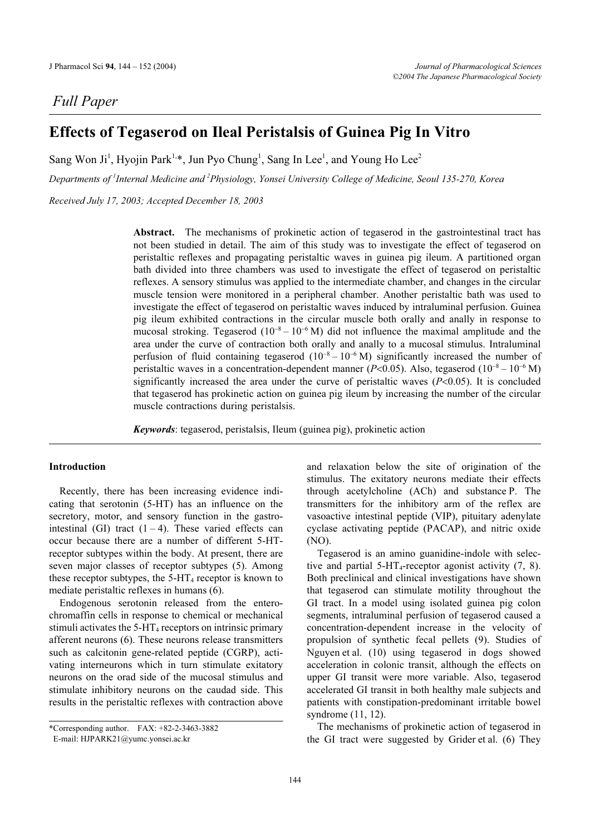## Full Paper

# Effects of Tegaserod on Ileal Peristalsis of Guinea Pig In Vitro

Sang Won Ji<sup>1</sup>, Hyojin Park<sup>1,\*</sup>, Jun Pyo Chung<sup>1</sup>, Sang In Lee<sup>1</sup>, and Young Ho Lee<sup>2</sup>

Departments of <sup>1</sup>Internal Medicine and <sup>2</sup>Physiology, Yonsei University College of Medicine, Seoul 135-270, Korea

Received July 17, 2003; Accepted December 18, 2003

Abstract. The mechanisms of prokinetic action of tegaserod in the gastrointestinal tract has not been studied in detail. The aim of this study was to investigate the effect of tegaserod on peristaltic reflexes and propagating peristaltic waves in guinea pig ileum. A partitioned organ bath divided into three chambers was used to investigate the effect of tegaserod on peristaltic reflexes. A sensory stimulus was applied to the intermediate chamber, and changes in the circular muscle tension were monitored in a peripheral chamber. Another peristaltic bath was used to investigate the effect of tegaserod on peristaltic waves induced by intraluminal perfusion. Guinea pig ileum exhibited contractions in the circular muscle both orally and anally in response to mucosal stroking. Tegaserod  $(10^{-8} - 10^{-6} M)$  did not influence the maximal amplitude and the area under the curve of contraction both orally and anally to a mucosal stimulus. Intraluminal perfusion of fluid containing tegaserod  $(10^{-8} - 10^{-6} M)$  significantly increased the number of peristaltic waves in a concentration-dependent manner ( $P<0.05$ ). Also, tegaserod ( $10^{-8} - 10^{-6}$  M) significantly increased the area under the curve of peristaltic waves  $(P<0.05)$ . It is concluded that tegaserod has prokinetic action on guinea pig ileum by increasing the number of the circular muscle contractions during peristalsis.

Keywords: tegaserod, peristalsis, Ileum (guinea pig), prokinetic action

#### Introduction

Recently, there has been increasing evidence indicating that serotonin (5-HT) has an influence on the secretory, motor, and sensory function in the gastrointestinal (GI) tract  $(1 - 4)$ . These varied effects can occur because there are a number of different 5-HTreceptor subtypes within the body. At present, there are seven major classes of receptor subtypes (5). Among these receptor subtypes, the  $5-HT_4$  receptor is known to mediate peristaltic reflexes in humans (6).

Endogenous serotonin released from the enterochromaffin cells in response to chemical or mechanical stimuli activates the  $5-HT_4$  receptors on intrinsic primary afferent neurons (6). These neurons release transmitters such as calcitonin gene-related peptide (CGRP), activating interneurons which in turn stimulate exitatory neurons on the orad side of the mucosal stimulus and stimulate inhibitory neurons on the caudad side. This results in the peristaltic reflexes with contraction above

and relaxation below the site of origination of the stimulus. The exitatory neurons mediate their effects through acetylcholine (ACh) and substance P. The transmitters for the inhibitory arm of the reflex are vasoactive intestinal peptide (VIP), pituitary adenylate cyclase activating peptide (PACAP), and nitric oxide (NO).

Tegaserod is an amino guanidine-indole with selective and partial  $5-HT_4$ -receptor agonist activity  $(7, 8)$ . Both preclinical and clinical investigations have shown that tegaserod can stimulate motility throughout the GI tract. In a model using isolated guinea pig colon segments, intraluminal perfusion of tegaserod caused a concentration-dependent increase in the velocity of propulsion of synthetic fecal pellets (9). Studies of Nguyen et al. (10) using tegaserod in dogs showed acceleration in colonic transit, although the effects on upper GI transit were more variable. Also, tegaserod accelerated GI transit in both healthy male subjects and patients with constipation-predominant irritable bowel syndrome (11, 12).

The mechanisms of prokinetic action of tegaserod in the GI tract were suggested by Grider et al. (6) They

<sup>\*</sup>Corresponding author. FAX: +82-2-3463-3882

E-mail: HJPARK21@yumc.yonsei.ac.kr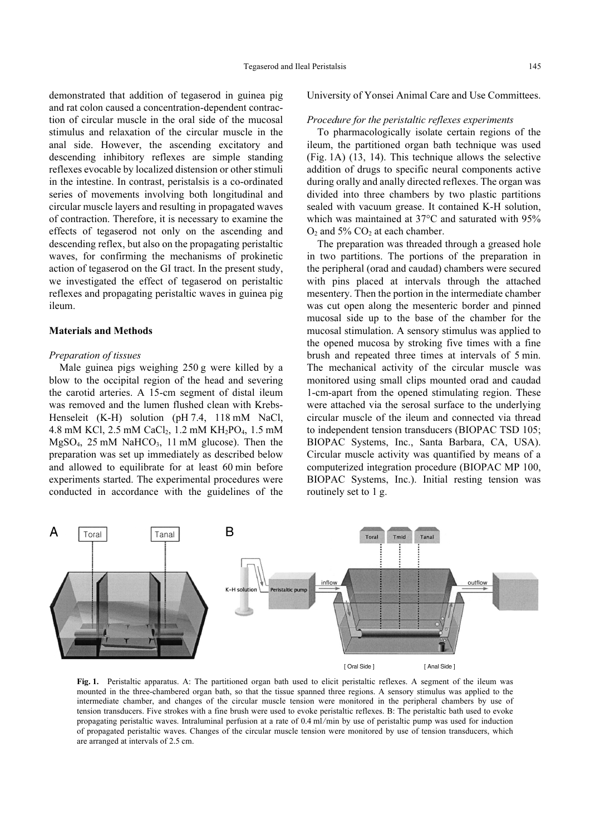demonstrated that addition of tegaserod in guinea pig and rat colon caused a concentration-dependent contraction of circular muscle in the oral side of the mucosal stimulus and relaxation of the circular muscle in the anal side. However, the ascending excitatory and descending inhibitory reflexes are simple standing reflexes evocable by localized distension or other stimuli in the intestine. In contrast, peristalsis is a co-ordinated series of movements involving both longitudinal and circular muscle layers and resulting in propagated waves of contraction. Therefore, it is necessary to examine the effects of tegaserod not only on the ascending and descending reflex, but also on the propagating peristaltic waves, for confirming the mechanisms of prokinetic action of tegaserod on the GI tract. In the present study, we investigated the effect of tegaserod on peristaltic reflexes and propagating peristaltic waves in guinea pig ileum.

## Materials and Methods

#### Preparation of tissues

Male guinea pigs weighing 250 g were killed by a blow to the occipital region of the head and severing the carotid arteries. A 15-cm segment of distal ileum was removed and the lumen flushed clean with Krebs-Henseleit (K-H) solution (pH 7.4, 118 mM NaCl, 4.8 mM KCl, 2.5 mM CaCl<sub>2</sub>, 1.2 mM KH<sub>2</sub>PO<sub>4</sub>, 1.5 mM  $MgSO<sub>4</sub>$ , 25 mM NaHCO<sub>3</sub>, 11 mM glucose). Then the preparation was set up immediately as described below and allowed to equilibrate for at least 60 min before experiments started. The experimental procedures were conducted in accordance with the guidelines of the

#### University of Yonsei Animal Care and Use Committees.

#### Procedure for the peristaltic reflexes experiments

To pharmacologically isolate certain regions of the ileum, the partitioned organ bath technique was used (Fig. 1A) (13, 14). This technique allows the selective addition of drugs to specific neural components active during orally and anally directed reflexes. The organ was divided into three chambers by two plastic partitions sealed with vacuum grease. It contained K-H solution, which was maintained at 37°C and saturated with 95%  $O<sub>2</sub>$  and 5% CO<sub>2</sub> at each chamber.

The preparation was threaded through a greased hole in two partitions. The portions of the preparation in the peripheral (orad and caudad) chambers were secured with pins placed at intervals through the attached mesentery. Then the portion in the intermediate chamber was cut open along the mesenteric border and pinned mucosal side up to the base of the chamber for the mucosal stimulation. A sensory stimulus was applied to the opened mucosa by stroking five times with a fine brush and repeated three times at intervals of 5 min. The mechanical activity of the circular muscle was monitored using small clips mounted orad and caudad 1-cm-apart from the opened stimulating region. These were attached via the serosal surface to the underlying circular muscle of the ileum and connected via thread to independent tension transducers (BIOPAC TSD 105; BIOPAC Systems, Inc., Santa Barbara, CA, USA). Circular muscle activity was quantified by means of a computerized integration procedure (BIOPAC MP 100, BIOPAC Systems, Inc.). Initial resting tension was routinely set to 1 g.



Fig. 1. Peristaltic apparatus. A: The partitioned organ bath used to elicit peristaltic reflexes. A segment of the ileum was mounted in the three-chambered organ bath, so that the tissue spanned three regions. A sensory stimulus was applied to the intermediate chamber, and changes of the circular muscle tension were monitored in the peripheral chambers by use of tension transducers. Five strokes with a fine brush were used to evoke peristaltic reflexes. B: The peristaltic bath used to evoke propagating peristaltic waves. Intraluminal perfusion at a rate of 0.4 ml/min by use of peristaltic pump was used for induction of propagated peristaltic waves. Changes of the circular muscle tension were monitored by use of tension transducers, which are arranged at intervals of 2.5 cm.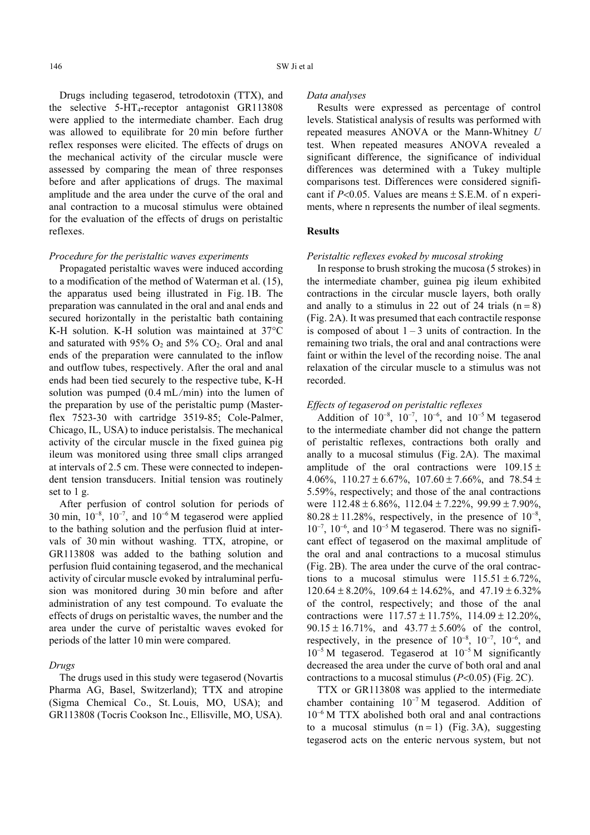Drugs including tegaserod, tetrodotoxin (TTX), and the selective  $5-\text{HT}_4$ -receptor antagonist GR113808 were applied to the intermediate chamber. Each drug was allowed to equilibrate for 20 min before further reflex responses were elicited. The effects of drugs on the mechanical activity of the circular muscle were assessed by comparing the mean of three responses before and after applications of drugs. The maximal amplitude and the area under the curve of the oral and anal contraction to a mucosal stimulus were obtained for the evaluation of the effects of drugs on peristaltic reflexes.

## Procedure for the peristaltic waves experiments

Propagated peristaltic waves were induced according to a modification of the method of Waterman et al. (15), the apparatus used being illustrated in Fig. 1B. The preparation was cannulated in the oral and anal ends and secured horizontally in the peristaltic bath containing K-H solution. K-H solution was maintained at  $37^{\circ}$ C and saturated with  $95\%$  O<sub>2</sub> and  $5\%$  CO<sub>2</sub>. Oral and anal ends of the preparation were cannulated to the inflow and outflow tubes, respectively. After the oral and anal ends had been tied securely to the respective tube, K-H solution was pumped (0.4 mL/min) into the lumen of the preparation by use of the peristaltic pump (Masterflex 7523-30 with cartridge 3519-85; Cole-Palmer, Chicago, IL, USA) to induce peristalsis. The mechanical activity of the circular muscle in the fixed guinea pig ileum was monitored using three small clips arranged at intervals of 2.5 cm. These were connected to independent tension transducers. Initial tension was routinely set to 1 g.

After perfusion of control solution for periods of 30 min,  $10^{-8}$ ,  $10^{-7}$ , and  $10^{-6}$  M tegaserod were applied to the bathing solution and the perfusion fluid at intervals of 30 min without washing. TTX, atropine, or GR113808 was added to the bathing solution and perfusion fluid containing tegaserod, and the mechanical activity of circular muscle evoked by intraluminal perfusion was monitored during 30 min before and after administration of any test compound. To evaluate the effects of drugs on peristaltic waves, the number and the area under the curve of peristaltic waves evoked for periods of the latter 10 min were compared.

#### Drugs

The drugs used in this study were tegaserod (Novartis Pharma AG, Basel, Switzerland); TTX and atropine (Sigma Chemical Co., St. Louis, MO, USA); and GR113808 (Tocris Cookson Inc., Ellisville, MO, USA).

#### Data analyses

Results were expressed as percentage of control levels. Statistical analysis of results was performed with repeated measures ANOVA or the Mann-Whitney U test. When repeated measures ANOVA revealed a significant difference, the significance of individual differences was determined with a Tukey multiple comparisons test. Differences were considered significant if  $P<0.05$ . Values are means  $\pm$  S.E.M. of n experiments, where n represents the number of ileal segments.

#### **Results**

## Peristaltic reflexes evoked by mucosal stroking

In response to brush stroking the mucosa (5 strokes) in the intermediate chamber, guinea pig ileum exhibited contractions in the circular muscle layers, both orally and anally to a stimulus in 22 out of 24 trials  $(n = 8)$ (Fig. 2A). It was presumed that each contractile response is composed of about  $1 - 3$  units of contraction. In the remaining two trials, the oral and anal contractions were faint or within the level of the recording noise. The anal relaxation of the circular muscle to a stimulus was not recorded.

## Effects of tegaserod on peristaltic reflexes

Addition of  $10^{-8}$ ,  $10^{-7}$ ,  $10^{-6}$ , and  $10^{-5}$  M tegaserod to the intermediate chamber did not change the pattern of peristaltic reflexes, contractions both orally and anally to a mucosal stimulus (Fig. 2A). The maximal amplitude of the oral contractions were  $109.15 \pm$ 4.06%,  $110.27 \pm 6.67$ %,  $107.60 \pm 7.66$ %, and  $78.54 \pm$ 5.59%, respectively; and those of the anal contractions were  $112.48 \pm 6.86\%$ ,  $112.04 \pm 7.22\%$ ,  $99.99 \pm 7.90\%$ ,  $80.28 \pm 11.28\%$ , respectively, in the presence of  $10^{-8}$ ,  $10^{-7}$ ,  $10^{-6}$ , and  $10^{-5}$  M tegaserod. There was no significant effect of tegaserod on the maximal amplitude of the oral and anal contractions to a mucosal stimulus (Fig. 2B). The area under the curve of the oral contractions to a mucosal stimulus were  $115.51 \pm 6.72\%$ ,  $120.64 \pm 8.20\%$ ,  $109.64 \pm 14.62\%$ , and  $47.19 \pm 6.32\%$ of the control, respectively; and those of the anal contractions were  $117.57 \pm 11.75\%$ ,  $114.09 \pm 12.20\%$ ,  $90.15 \pm 16.71\%$ , and  $43.77 \pm 5.60\%$  of the control, respectively, in the presence of  $10^{-8}$ ,  $10^{-7}$ ,  $10^{-6}$ , and  $10^{-5}$  M tegaserod. Tegaserod at  $10^{-5}$  M significantly decreased the area under the curve of both oral and anal contractions to a mucosal stimulus  $(P<0.05)$  (Fig. 2C).

TTX or GR113808 was applied to the intermediate chamber containing  $10^{-7}$  M tegaserod. Addition of  $10^{-6}$  M TTX abolished both oral and anal contractions to a mucosal stimulus  $(n = 1)$  (Fig. 3A), suggesting tegaserod acts on the enteric nervous system, but not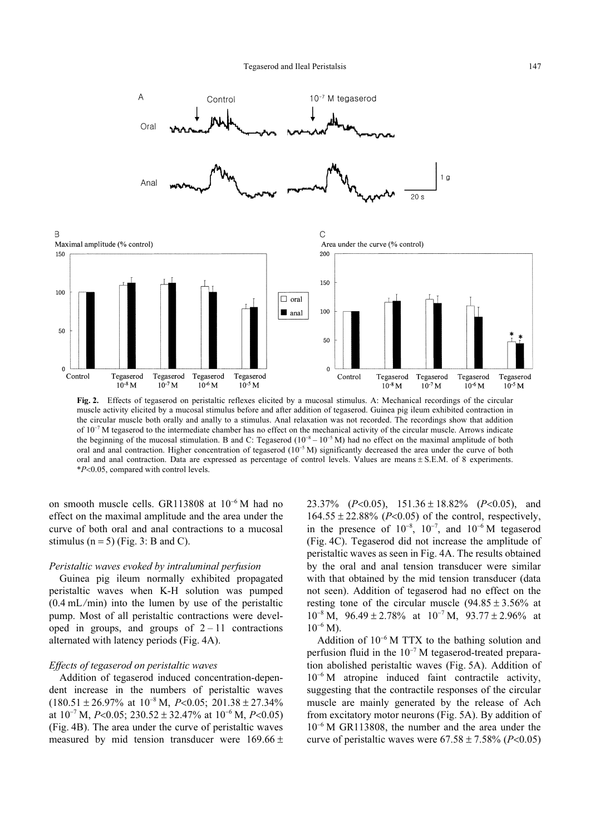

Fig. 2. Effects of tegaserod on peristaltic reflexes elicited by a mucosal stimulus. A: Mechanical recordings of the circular muscle activity elicited by a mucosal stimulus before and after addition of tegaserod. Guinea pig ileum exhibited contraction in the circular muscle both orally and anally to a stimulus. Anal relaxation was not recorded. The recordings show that addition of  $10^{-7}$  M tegaserod to the intermediate chamber has no effect on the mechanical activity of the circular muscle. Arrows indicate the beginning of the mucosal stimulation. B and C: Tegaserod  $(10^{-8} - 10^{-5} M)$  had no effect on the maximal amplitude of both oral and anal contraction. Higher concentration of tegaserod  $(10^{-5} M)$  significantly decreased the area under the curve of both oral and anal contraction. Data are expressed as percentage of control levels. Values are means S.E.M. of 8 experiments. \*P-0.05, compared with control levels.

on smooth muscle cells. GR113808 at  $10^{-6}$  M had no effect on the maximal amplitude and the area under the curve of both oral and anal contractions to a mucosal stimulus ( $n = 5$ ) (Fig. 3: B and C).

#### Peristaltic waves evoked by intraluminal perfusion

Guinea pig ileum normally exhibited propagated peristaltic waves when K-H solution was pumped (0.4 mL/min) into the lumen by use of the peristaltic pump. Most of all peristaltic contractions were developed in groups, and groups of  $2 - 11$  contractions alternated with latency periods (Fig. 4A).

#### Effects of tegaserod on peristaltic waves

 $\overline{B}$ 

Addition of tegaserod induced concentration-dependent increase in the numbers of peristaltic waves  $(180.51 \pm 26.97\% \text{ at } 10^{-8} \text{ M}, P<0.05; 201.38 \pm 27.34\%$ at  $10^{-7}$  M, P<0.05;  $230.52 \pm 32.47\%$  at  $10^{-6}$  M, P<0.05) (Fig. 4B). The area under the curve of peristaltic waves measured by mid tension transducer were  $169.66 \pm$ 

23.37% ( $P<0.05$ ), 151.36 ± 18.82% ( $P<0.05$ ), and  $164.55 \pm 22.88\%$  (P<0.05) of the control, respectively, in the presence of  $10^{-8}$ ,  $10^{-7}$ , and  $10^{-6}$  M tegaserod (Fig. 4C). Tegaserod did not increase the amplitude of peristaltic waves as seen in Fig. 4A. The results obtained by the oral and anal tension transducer were similar with that obtained by the mid tension transducer (data not seen). Addition of tegaserod had no effect on the resting tone of the circular muscle  $(94.85 \pm 3.56\%$  at  $10^{-8}$  M,  $96.49 \pm 2.78\%$  at  $10^{-7}$  M,  $93.77 \pm 2.96\%$  at  $10^{-6}$  M).

Addition of  $10^{-6}$  M TTX to the bathing solution and perfusion fluid in the  $10^{-7}$  M tegaserod-treated preparation abolished peristaltic waves (Fig. 5A). Addition of  $10^{-6}$  M atropine induced faint contractile activity, suggesting that the contractile responses of the circular muscle are mainly generated by the release of Ach from excitatory motor neurons (Fig. 5A). By addition of  $10^{-6}$  M GR113808, the number and the area under the curve of peristaltic waves were  $67.58 \pm 7.58\%$  (P<0.05)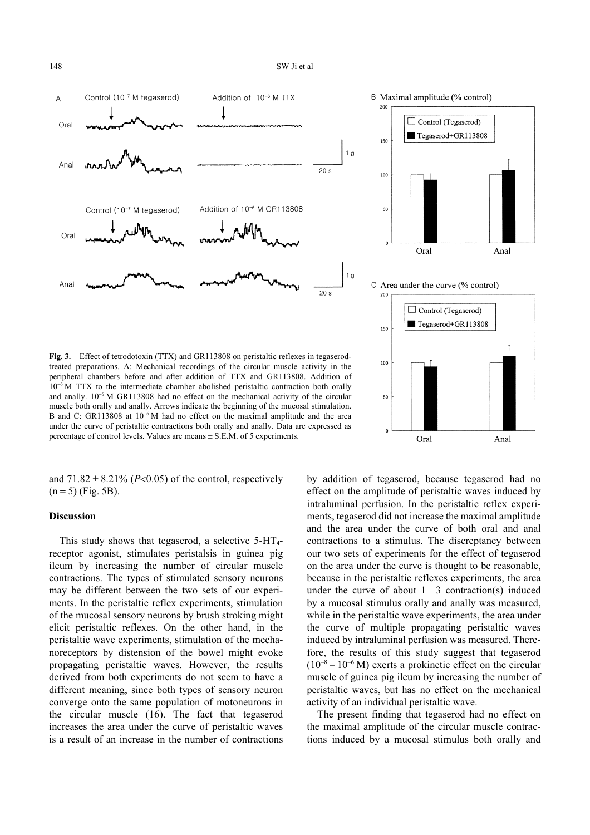

Fig. 3. Effect of tetrodotoxin (TTX) and GR113808 on peristaltic reflexes in tegaserodtreated preparations. A: Mechanical recordings of the circular muscle activity in the peripheral chambers before and after addition of TTX and GR113808. Addition of  $10^{-6}$  M TTX to the intermediate chamber abolished peristaltic contraction both orally and anally.  $10^{-6}$  M GR113808 had no effect on the mechanical activity of the circular muscle both orally and anally. Arrows indicate the beginning of the mucosal stimulation. B and C: GR113808 at  $10^{-6}$  M had no effect on the maximal amplitude and the area under the curve of peristaltic contractions both orally and anally. Data are expressed as percentage of control levels. Values are means  $\pm$  S.E.M. of 5 experiments.

and  $71.82 \pm 8.21\%$  (P<0.05) of the control, respectively  $(n = 5)$  (Fig. 5B).

## Discussion

This study shows that tegaserod, a selective  $5-HT_{4}$ receptor agonist, stimulates peristalsis in guinea pig ileum by increasing the number of circular muscle contractions. The types of stimulated sensory neurons may be different between the two sets of our experiments. In the peristaltic reflex experiments, stimulation of the mucosal sensory neurons by brush stroking might elicit peristaltic reflexes. On the other hand, in the peristaltic wave experiments, stimulation of the mechanoreceptors by distension of the bowel might evoke propagating peristaltic waves. However, the results derived from both experiments do not seem to have a different meaning, since both types of sensory neuron converge onto the same population of motoneurons in the circular muscle (16). The fact that tegaserod increases the area under the curve of peristaltic waves is a result of an increase in the number of contractions

by addition of tegaserod, because tegaserod had no effect on the amplitude of peristaltic waves induced by intraluminal perfusion. In the peristaltic reflex experiments, tegaserod did not increase the maximal amplitude and the area under the curve of both oral and anal contractions to a stimulus. The discreptancy between our two sets of experiments for the effect of tegaserod on the area under the curve is thought to be reasonable, because in the peristaltic reflexes experiments, the area under the curve of about  $1 - 3$  contraction(s) induced by a mucosal stimulus orally and anally was measured, while in the peristaltic wave experiments, the area under the curve of multiple propagating peristaltic waves induced by intraluminal perfusion was measured. Therefore, the results of this study suggest that tegaserod  $(10^{-8} - 10^{-6}$  M) exerts a prokinetic effect on the circular muscle of guinea pig ileum by increasing the number of peristaltic waves, but has no effect on the mechanical activity of an individual peristaltic wave.

The present finding that tegaserod had no effect on the maximal amplitude of the circular muscle contractions induced by a mucosal stimulus both orally and







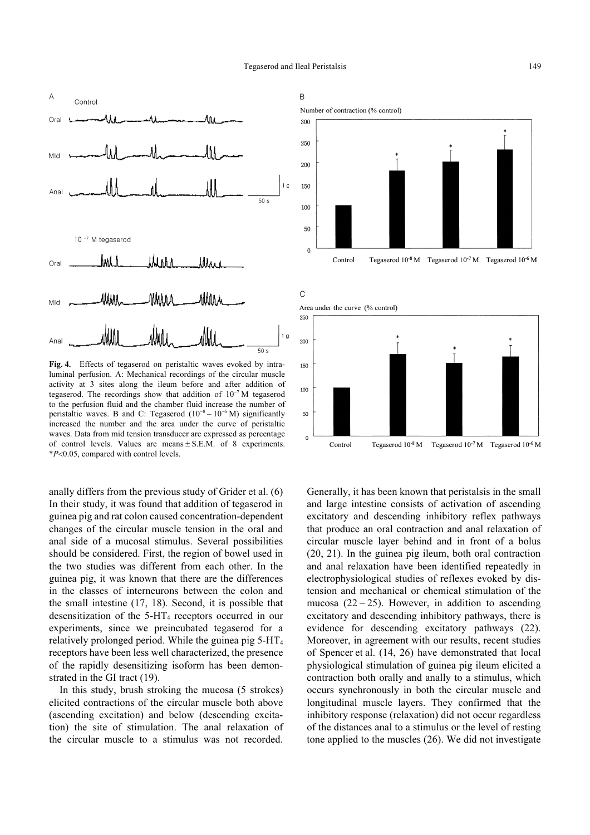

Fig. 4. Effects of tegaserod on peristaltic waves evoked by intraluminal perfusion. A: Mechanical recordings of the circular muscle activity at 3 sites along the ileum before and after addition of tegaserod. The recordings show that addition of  $10^{-7}$  M tegaserod to the perfusion fluid and the chamber fluid increase the number of peristaltic waves. B and C: Tegaserod  $(10^{-8} - 10^{-6} M)$  significantly increased the number and the area under the curve of peristaltic waves. Data from mid tension transducer are expressed as percentage of control levels. Values are means  $\pm$  S.E.M. of 8 experiments. \**P*-0.05, compared with control levels.

anally differs from the previous study of Grider et al. (6) In their study, it was found that addition of tegaserod in guinea pig and rat colon caused concentration-dependent changes of the circular muscle tension in the oral and anal side of a mucosal stimulus. Several possibilities should be considered. First, the region of bowel used in the two studies was different from each other. In the guinea pig, it was known that there are the differences in the classes of interneurons between the colon and the small intestine (17, 18). Second, it is possible that desensitization of the  $5-HT_4$  receptors occurred in our experiments, since we preincubated tegaserod for a relatively prolonged period. While the guinea pig 5-HT<sup>4</sup> receptors have been less well characterized, the presence of the rapidly desensitizing isoform has been demonstrated in the GI tract (19).

In this study, brush stroking the mucosa (5 strokes) elicited contractions of the circular muscle both above (ascending excitation) and below (descending excitation) the site of stimulation. The anal relaxation of the circular muscle to a stimulus was not recorded.



 $\mathsf{C}$ 







Generally, it has been known that peristalsis in the small and large intestine consists of activation of ascending excitatory and descending inhibitory reflex pathways that produce an oral contraction and anal relaxation of circular muscle layer behind and in front of a bolus (20, 21). In the guinea pig ileum, both oral contraction and anal relaxation have been identified repeatedly in electrophysiological studies of reflexes evoked by distension and mechanical or chemical stimulation of the mucosa  $(22 – 25)$ . However, in addition to ascending excitatory and descending inhibitory pathways, there is evidence for descending excitatory pathways (22). Moreover, in agreement with our results, recent studies of Spencer et al. (14, 26) have demonstrated that local physiological stimulation of guinea pig ileum elicited a contraction both orally and anally to a stimulus, which occurs synchronously in both the circular muscle and longitudinal muscle layers. They confirmed that the inhibitory response (relaxation) did not occur regardless of the distances anal to a stimulus or the level of resting tone applied to the muscles (26). We did not investigate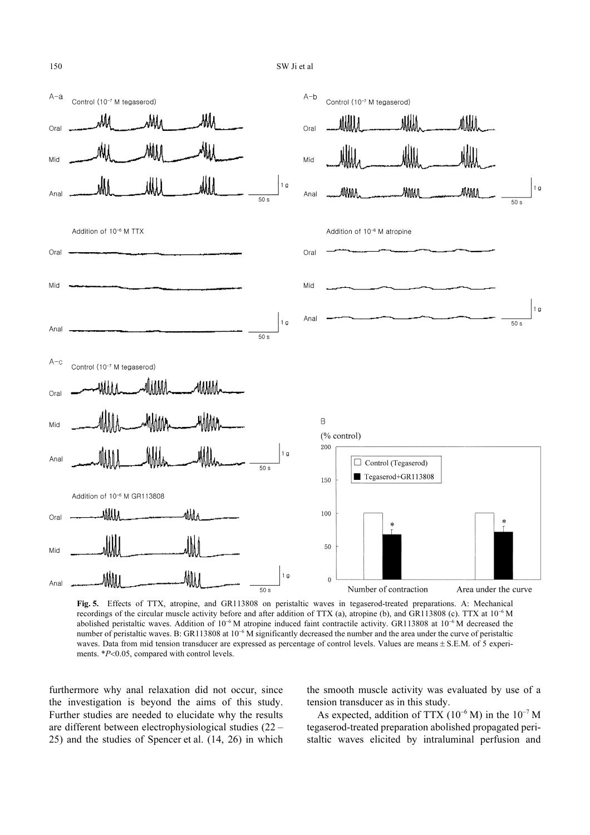

Fig. 5. Effects of TTX, atropine, and GR113808 on peristaltic waves in tegaserod-treated preparations. A: Mechanical recordings of the circular muscle activity before and after addition of TTX (a), atropine (b), and GR113808 (c). TTX at  $10^{-6}$  M abolished peristaltic waves. Addition of  $10^{-6}$  M atropine induced faint contractile activity. GR113808 at  $10^{-6}$  M decreased the number of peristaltic waves. B: GR113808 at  $10^{-6}$  M significantly decreased the number and the area under the curve of peristaltic waves. Data from mid tension transducer are expressed as percentage of control levels. Values are means  $\pm$  S.E.M. of 5 experiments. \*P<0.05, compared with control levels.

furthermore why anal relaxation did not occur, since the investigation is beyond the aims of this study. Further studies are needed to elucidate why the results are different between electrophysiological studies (22 – 25) and the studies of Spencer et al. (14, 26) in which the smooth muscle activity was evaluated by use of a tension transducer as in this study.

As expected, addition of TTX ( $10^{-6}$  M) in the  $10^{-7}$  M tegaserod-treated preparation abolished propagated peristaltic waves elicited by intraluminal perfusion and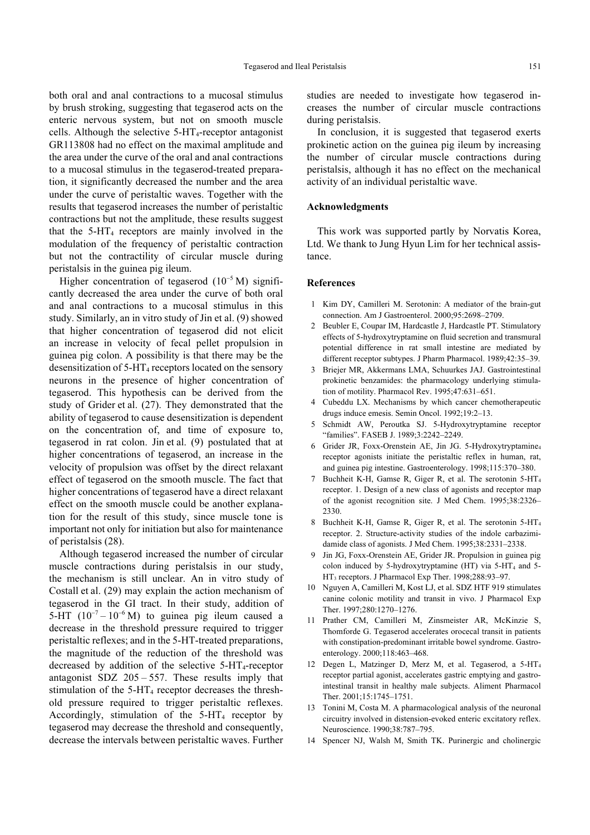both oral and anal contractions to a mucosal stimulus by brush stroking, suggesting that tegaserod acts on the enteric nervous system, but not on smooth muscle cells. Although the selective  $5-HT_4$ -receptor antagonist GR113808 had no effect on the maximal amplitude and the area under the curve of the oral and anal contractions to a mucosal stimulus in the tegaserod-treated preparation, it significantly decreased the number and the area under the curve of peristaltic waves. Together with the results that tegaserod increases the number of peristaltic contractions but not the amplitude, these results suggest that the  $5-HT<sub>4</sub>$  receptors are mainly involved in the modulation of the frequency of peristaltic contraction but not the contractility of circular muscle during peristalsis in the guinea pig ileum.

Higher concentration of tegaserod  $(10^{-5} M)$  significantly decreased the area under the curve of both oral and anal contractions to a mucosal stimulus in this study. Similarly, an in vitro study of Jin et al. (9) showed that higher concentration of tegaserod did not elicit an increase in velocity of fecal pellet propulsion in guinea pig colon. A possibility is that there may be the desensitization of 5-HT<sub>4</sub> receptors located on the sensory neurons in the presence of higher concentration of tegaserod. This hypothesis can be derived from the study of Grider et al. (27). They demonstrated that the ability of tegaserod to cause desensitization is dependent on the concentration of, and time of exposure to, tegaserod in rat colon. Jin et al. (9) postulated that at higher concentrations of tegaserod, an increase in the velocity of propulsion was offset by the direct relaxant effect of tegaserod on the smooth muscle. The fact that higher concentrations of tegaserod have a direct relaxant effect on the smooth muscle could be another explanation for the result of this study, since muscle tone is important not only for initiation but also for maintenance of peristalsis (28).

Although tegaserod increased the number of circular muscle contractions during peristalsis in our study, the mechanism is still unclear. An in vitro study of Costall et al. (29) may explain the action mechanism of tegaserod in the GI tract. In their study, addition of 5-HT  $(10^{-7} - 10^{-6} M)$  to guinea pig ileum caused a decrease in the threshold pressure required to trigger peristaltic reflexes; and in the 5-HT-treated preparations, the magnitude of the reduction of the threshold was decreased by addition of the selective  $5-HT_4$ -receptor antagonist SDZ  $205 - 557$ . These results imply that stimulation of the  $5-HT_4$  receptor decreases the threshold pressure required to trigger peristaltic reflexes. Accordingly, stimulation of the  $5-HT<sub>4</sub>$  receptor by tegaserod may decrease the threshold and consequently, decrease the intervals between peristaltic waves. Further studies are needed to investigate how tegaserod increases the number of circular muscle contractions during peristalsis.

In conclusion, it is suggested that tegaserod exerts prokinetic action on the guinea pig ileum by increasing the number of circular muscle contractions during peristalsis, although it has no effect on the mechanical activity of an individual peristaltic wave.

## Acknowledgments

This work was supported partly by Norvatis Korea, Ltd. We thank to Jung Hyun Lim for her technical assistance.

#### References

- 1 Kim DY, Camilleri M. Serotonin: A mediator of the brain-gut connection. Am J Gastroenterol. 2000;95:2698–2709.
- 2 Beubler E, Coupar IM, Hardcastle J, Hardcastle PT. Stimulatory effects of 5-hydroxytryptamine on fluid secretion and transmural potential difference in rat small intestine are mediated by different receptor subtypes. J Pharm Pharmacol. 1989;42:35–39.
- 3 Briejer MR, Akkermans LMA, Schuurkes JAJ. Gastrointestinal prokinetic benzamides: the pharmacology underlying stimulation of motility. Pharmacol Rev. 1995;47:631–651.
- 4 Cubeddu LX. Mechanisms by which cancer chemotherapeutic drugs induce emesis. Semin Oncol. 1992;19:2–13.
- 5 Schmidt AW, Peroutka SJ. 5-Hydroxytryptamine receptor "families". FASEB J. 1989;3:2242–2249.
- 6 Grider JR, Foxx-Orenstein AE, Jin JG. 5-Hydroxytryptamine<sup>4</sup> receptor agonists initiate the peristaltic reflex in human, rat, and guinea pig intestine. Gastroenterology. 1998;115:370–380.
- 7 Buchheit K-H, Gamse R, Giger R, et al. The serotonin 5-HT<sup>4</sup> receptor. 1. Design of a new class of agonists and receptor map of the agonist recognition site. J Med Chem. 1995;38:2326– 2330.
- 8 Buchheit K-H, Gamse R, Giger R, et al. The serotonin 5-HT<sup>4</sup> receptor. 2. Structure-activity studies of the indole carbazimidamide class of agonists. J Med Chem. 1995;38:2331–2338.
- 9 Jin JG, Foxx-Orenstein AE, Grider JR. Propulsion in guinea pig colon induced by 5-hydroxytryptamine (HT) via 5-HT4 and 5- HT<sub>3</sub> receptors. J Pharmacol Exp Ther. 1998;288:93-97.
- 10 Nguyen A, Camilleri M, Kost LJ, et al. SDZ HTF 919 stimulates canine colonic motility and transit in vivo. J Pharmacol Exp Ther. 1997;280:1270–1276.
- 11 Prather CM, Camilleri M, Zinsmeister AR, McKinzie S, Thomforde G. Tegaserod accelerates orocecal transit in patients with constipation-predominant irritable bowel syndrome. Gastroenterology. 2000;118:463–468.
- 12 Degen L, Matzinger D, Merz M, et al. Tegaserod, a 5-HT<sup>4</sup> receptor partial agonist, accelerates gastric emptying and gastrointestinal transit in healthy male subjects. Aliment Pharmacol Ther. 2001;15:1745–1751.
- 13 Tonini M, Costa M. A pharmacological analysis of the neuronal circuitry involved in distension-evoked enteric excitatory reflex. Neuroscience. 1990;38:787–795.
- 14 Spencer NJ, Walsh M, Smith TK. Purinergic and cholinergic